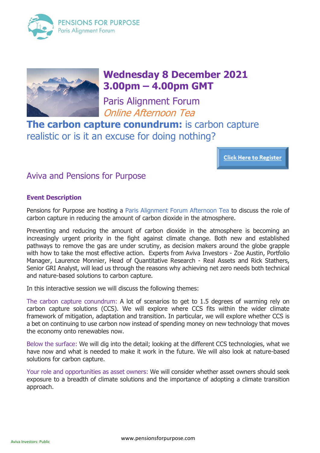



# **Wednesday 8 December 2021 3.00pm – 4.00pm GMT**

Paris Alignment Forum Online Afternoon Tea

**The carbon capture conundrum:** is carbon capture realistic or is it an excuse for doing nothing?

**Click Here to Register** 

# Aviva and Pensions for Purpose

# **Event Description**

Pensions for Purpose are hosting a Paris Alignment Forum Afternoon Tea to discuss the role of carbon capture in reducing the amount of carbon dioxide in the atmosphere.

Preventing and reducing the amount of carbon dioxide in the atmosphere is becoming an increasingly urgent priority in the fight against climate change. Both new and established pathways to remove the gas are under scrutiny, as decision makers around the globe grapple with how to take the most effective action. Experts from Aviva Investors - Zoe Austin, Portfolio Manager, Laurence Monnier, Head of Quantitative Research - Real Assets and Rick Stathers, Senior GRI Analyst, will lead us through the reasons why achieving net zero needs both technical and nature-based solutions to carbon capture.

In this interactive session we will discuss the following themes:

The carbon capture conundrum: A lot of scenarios to get to 1.5 degrees of warming rely on carbon capture solutions (CCS). We will explore where CCS fits within the wider climate framework of mitigation, adaptation and transition. In particular, we will explore whether CCS is a bet on continuing to use carbon now instead of spending money on new technology that moves the economy onto renewables now.

Below the surface: We will dig into the detail; looking at the different CCS technologies, what we have now and what is needed to make it work in the future. We will also look at nature-based solutions for carbon capture.

Your role and opportunities as asset owners: We will consider whether asset owners should seek exposure to a breadth of climate solutions and the importance of adopting a climate transition approach.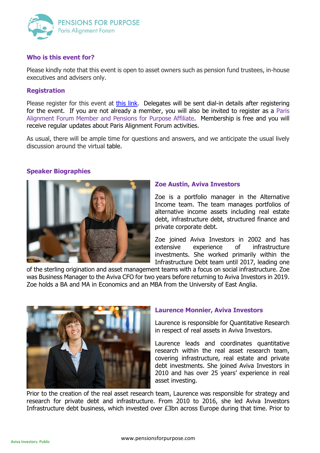

### **Who is this event for?**

Please kindly note that this event is open to asset owners such as pension fund trustees, in-house executives and advisers only.

#### **Registration**

Please register for this event at [this link.](https://us02web.zoom.us/meeting/register/tZYsfu-orzIuGdzdJGFFbmYtyLDSAU7cCuLJ) Delegates will be sent dial-in details after registering for the event. If you are not already a member, you will also be invited to register as a Paris Alignment Forum Member and Pensions for Purpose Affiliate. Membership is free and you will receive regular updates about Paris Alignment Forum activities.

As usual, there will be ample time for questions and answers, and we anticipate the usual lively discussion around the virtual table.

# **Speaker Biographies**



#### **Zoe Austin, Aviva Investors**

Zoe is a portfolio manager in the Alternative Income team. The team manages portfolios of alternative income assets including real estate debt, infrastructure debt, structured finance and private corporate debt.

Zoe joined Aviva Investors in 2002 and has extensive experience of infrastructure investments. She worked primarily within the Infrastructure Debt team until 2017, leading one

of the sterling origination and asset management teams with a focus on social infrastructure. Zoe was Business Manager to the Aviva CFO for two years before returning to Aviva Investors in 2019. Zoe holds a BA and MA in Economics and an MBA from the University of East Anglia.



# **Laurence Monnier, Aviva Investors**

Laurence is responsible for Quantitative Research in respect of real assets in Aviva Investors.

Laurence leads and coordinates quantitative research within the real asset research team, covering infrastructure, real estate and private debt investments. She joined Aviva Investors in 2010 and has over 25 years' experience in real asset investing.

Prior to the creation of the real asset research team, Laurence was responsible for strategy and research for private debt and infrastructure. From 2010 to 2016, she led Aviva Investors Infrastructure debt business, which invested over £3bn across Europe during that time. Prior to